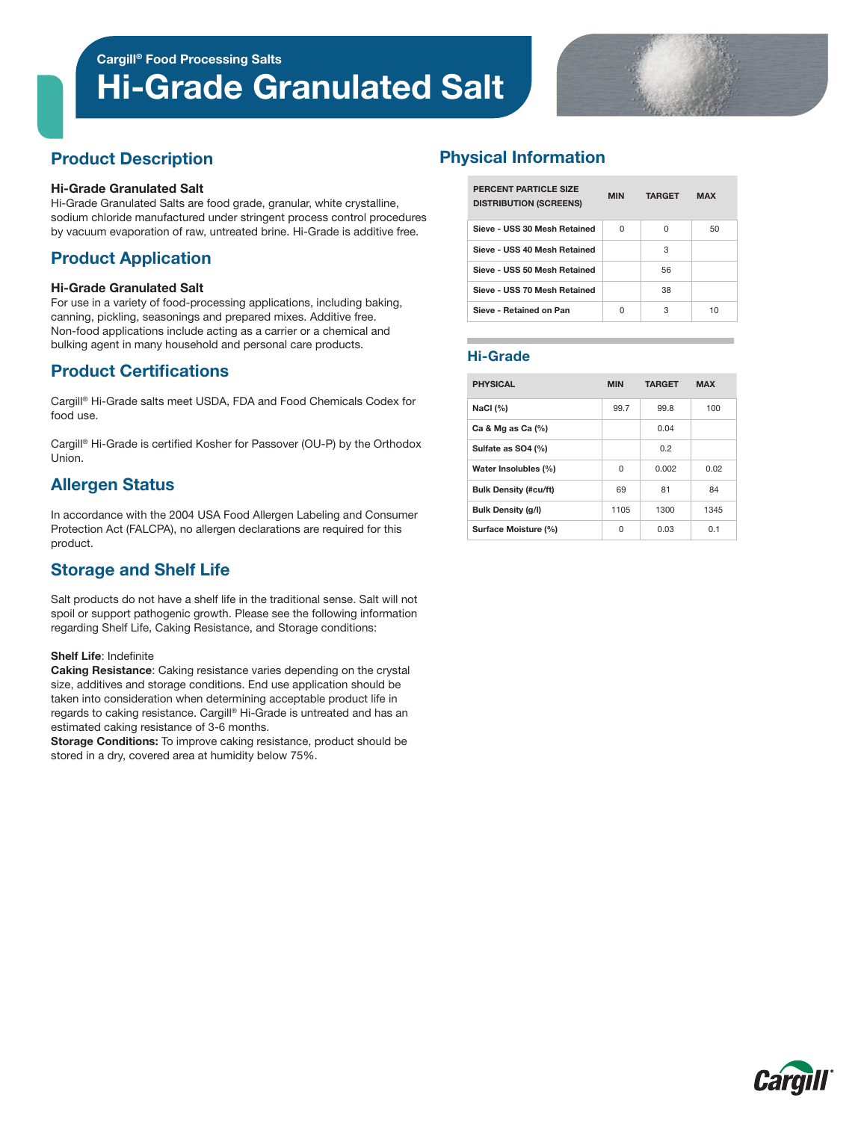# Hi-Grade Granulated Salt



# Product Description

#### Hi-Grade Granulated Salt

Hi-Grade Granulated Salts are food grade, granular, white crystalline, sodium chloride manufactured under stringent process control procedures by vacuum evaporation of raw, untreated brine. Hi-Grade is additive free.

# Product Application

#### Hi-Grade Granulated Salt

For use in a variety of food-processing applications, including baking, canning, pickling, seasonings and prepared mixes. Additive free. Non-food applications include acting as a carrier or a chemical and bulking agent in many household and personal care products.

## Product Certifications

Cargill® Hi-Grade salts meet USDA, FDA and Food Chemicals Codex for food use.

Cargill® Hi-Grade is certified Kosher for Passover (OU-P) by the Orthodox Union.

# Allergen Status

In accordance with the 2004 USA Food Allergen Labeling and Consumer Protection Act (FALCPA), no allergen declarations are required for this product.

# Storage and Shelf Life

Salt products do not have a shelf life in the traditional sense. Salt will not spoil or support pathogenic growth. Please see the following information regarding Shelf Life, Caking Resistance, and Storage conditions:

#### Shelf Life: Indefinite

Caking Resistance: Caking resistance varies depending on the crystal size, additives and storage conditions. End use application should be taken into consideration when determining acceptable product life in regards to caking resistance. Cargill® Hi-Grade is untreated and has an estimated caking resistance of 3-6 months.

Storage Conditions: To improve caking resistance, product should be stored in a dry, covered area at humidity below 75%.

# Physical Information

| PERCENT PARTICLE SIZE<br><b>DISTRIBUTION (SCREENS)</b> | <b>MIN</b> | <b>TARGET</b> | <b>MAX</b> |  |
|--------------------------------------------------------|------------|---------------|------------|--|
| Sieve - USS 30 Mesh Retained                           | U          | U             | 50         |  |
| Sieve - USS 40 Mesh Retained                           |            | з             |            |  |
| Sieve - USS 50 Mesh Retained                           |            | 56            |            |  |
| Sieve - USS 70 Mesh Retained                           |            | 38            |            |  |
| Sieve - Retained on Pan                                | U          | З             | 10         |  |

### Hi-Grade

| <b>PHYSICAL</b>              | <b>MIN</b> | <b>TARGET</b> | <b>MAX</b> |  |
|------------------------------|------------|---------------|------------|--|
| NaCl $(%)$                   | 99.7       | 99.8          | 100        |  |
| Ca & Mg as Ca $(\%)$         |            | 0.04          |            |  |
| Sulfate as SO4 (%)           |            | 0.2           |            |  |
| Water Insolubles (%)         | 0          | 0.002         | 0.02       |  |
| <b>Bulk Density (#cu/ft)</b> | 69         | 81            | 84         |  |
| <b>Bulk Density (g/l)</b>    | 1105       | 1300          | 1345       |  |
| Surface Moisture (%)         | 0          | 0.03          | 0.1        |  |